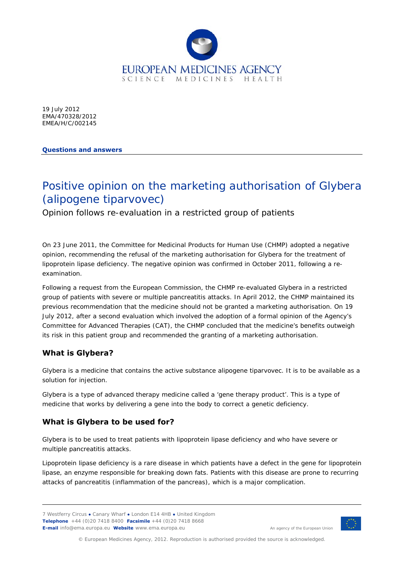

19 July 2012 EMA/470328/2012 EMEA/H/C/002145

**Questions and answers** 

# Positive opinion on the marketing authorisation of Glybera (alipogene tiparvovec)

Opinion follows re-evaluation in a restricted group of patients

On 23 June 2011, the Committee for Medicinal Products for Human Use (CHMP) adopted a negative opinion, recommending the refusal of the marketing authorisation for Glybera for the treatment of lipoprotein lipase deficiency. The negative opinion was confirmed in October 2011, following a reexamination.

Following a request from the European Commission, the CHMP re-evaluated Glybera in a restricted group of patients with severe or multiple pancreatitis attacks. In April 2012, the CHMP maintained its previous recommendation that the medicine should not be granted a marketing authorisation. On 19 July 2012, after a second evaluation which involved the adoption of a formal opinion of the Agency's Committee for Advanced Therapies (CAT), the CHMP concluded that the medicine's benefits outweigh its risk in this patient group and recommended the granting of a marketing authorisation.

# **What is Glybera?**

Glybera is a medicine that contains the active substance alipogene tiparvovec. It is to be available as a solution for injection.

Glybera is a type of advanced therapy medicine called a 'gene therapy product'. This is a type of medicine that works by delivering a gene into the body to correct a genetic deficiency.

# **What is Glybera to be used for?**

Glybera is to be used to treat patients with lipoprotein lipase deficiency and who have severe or multiple pancreatitis attacks.

Lipoprotein lipase deficiency is a rare disease in which patients have a defect in the gene for lipoprotein lipase, an enzyme responsible for breaking down fats. Patients with this disease are prone to recurring attacks of pancreatitis (inflammation of the pancreas), which is a major complication.

<sup>7</sup> Westferry Circus **●** Canary Wharf **●** London E14 4HB **●** United Kingdom **Telephone** +44 (0)20 7418 8400 **Facsimile** +44 (0)20 7418 8668 **E-mail** info@ema.europa.eu **Website** www.ema.europa.eu <br> **E-mail** info@ema.europa.eu **Website** www.ema.europa.eu



© European Medicines Agency, 2012. Reproduction is authorised provided the source is acknowledged.